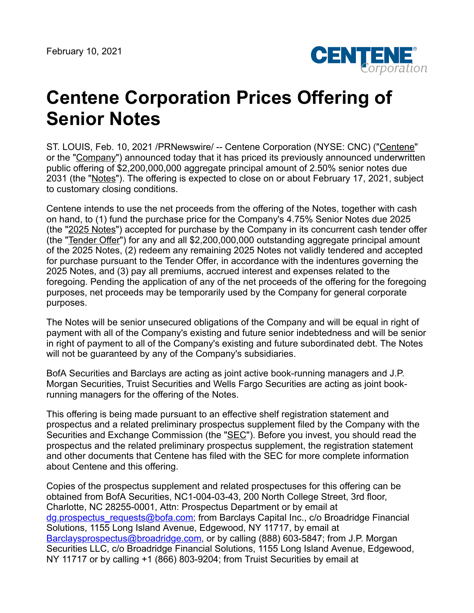

## **Centene Corporation Prices Offering of Senior Notes**

ST. LOUIS, Feb. 10, 2021 /PRNewswire/ -- Centene Corporation (NYSE: CNC) ("Centene" or the "Company") announced today that it has priced its previously announced underwritten public offering of \$2,200,000,000 aggregate principal amount of 2.50% senior notes due 2031 (the "Notes"). The offering is expected to close on or about February 17, 2021, subject to customary closing conditions.

Centene intends to use the net proceeds from the offering of the Notes, together with cash on hand, to (1) fund the purchase price for the Company's 4.75% Senior Notes due 2025 (the "2025 Notes") accepted for purchase by the Company in its concurrent cash tender offer (the "Tender Offer") for any and all \$2,200,000,000 outstanding aggregate principal amount of the 2025 Notes, (2) redeem any remaining 2025 Notes not validly tendered and accepted for purchase pursuant to the Tender Offer, in accordance with the indentures governing the 2025 Notes, and (3) pay all premiums, accrued interest and expenses related to the foregoing. Pending the application of any of the net proceeds of the offering for the foregoing purposes, net proceeds may be temporarily used by the Company for general corporate purposes.

The Notes will be senior unsecured obligations of the Company and will be equal in right of payment with all of the Company's existing and future senior indebtedness and will be senior in right of payment to all of the Company's existing and future subordinated debt. The Notes will not be guaranteed by any of the Company's subsidiaries.

BofA Securities and Barclays are acting as joint active book-running managers and J.P. Morgan Securities, Truist Securities and Wells Fargo Securities are acting as joint bookrunning managers for the offering of the Notes.

This offering is being made pursuant to an effective shelf registration statement and prospectus and a related preliminary prospectus supplement filed by the Company with the Securities and Exchange Commission (the "SEC"). Before you invest, you should read the prospectus and the related preliminary prospectus supplement, the registration statement and other documents that Centene has filed with the SEC for more complete information about Centene and this offering.

Copies of the prospectus supplement and related prospectuses for this offering can be obtained from BofA Securities, NC1-004-03-43, 200 North College Street, 3rd floor, Charlotte, NC 28255-0001, Attn: Prospectus Department or by email at [dg.prospectus\\_requests@bofa.com;](mailto:dg.prospectus_requests@bofa.com) from Barclays Capital Inc., c/o Broadridge Financial Solutions, 1155 Long Island Avenue, Edgewood, NY 11717, by email at [Barclaysprospectus@broadridge.com](mailto:Barclaysprospectus@broadridge.com), or by calling (888) 603-5847; from J.P. Morgan Securities LLC, c/o Broadridge Financial Solutions, 1155 Long Island Avenue, Edgewood, NY 11717 or by calling +1 (866) 803-9204; from Truist Securities by email at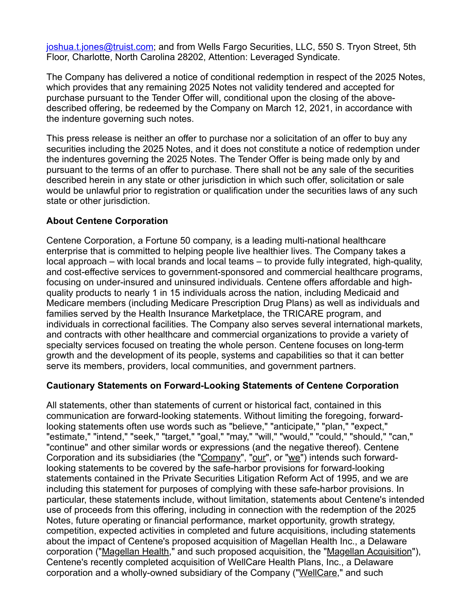[joshua.t.jones@truist.com](mailto:joshua.t.jones@truist.com); and from Wells Fargo Securities, LLC, 550 S. Tryon Street, 5th Floor, Charlotte, North Carolina 28202, Attention: Leveraged Syndicate.

The Company has delivered a notice of conditional redemption in respect of the 2025 Notes, which provides that any remaining 2025 Notes not validity tendered and accepted for purchase pursuant to the Tender Offer will, conditional upon the closing of the abovedescribed offering, be redeemed by the Company on March 12, 2021, in accordance with the indenture governing such notes.

This press release is neither an offer to purchase nor a solicitation of an offer to buy any securities including the 2025 Notes, and it does not constitute a notice of redemption under the indentures governing the 2025 Notes. The Tender Offer is being made only by and pursuant to the terms of an offer to purchase. There shall not be any sale of the securities described herein in any state or other jurisdiction in which such offer, solicitation or sale would be unlawful prior to registration or qualification under the securities laws of any such state or other jurisdiction.

## **About Centene Corporation**

Centene Corporation, a Fortune 50 company, is a leading multi-national healthcare enterprise that is committed to helping people live healthier lives. The Company takes a local approach – with local brands and local teams – to provide fully integrated, high-quality, and cost-effective services to government-sponsored and commercial healthcare programs, focusing on under-insured and uninsured individuals. Centene offers affordable and highquality products to nearly 1 in 15 individuals across the nation, including Medicaid and Medicare members (including Medicare Prescription Drug Plans) as well as individuals and families served by the Health Insurance Marketplace, the TRICARE program, and individuals in correctional facilities. The Company also serves several international markets, and contracts with other healthcare and commercial organizations to provide a variety of specialty services focused on treating the whole person. Centene focuses on long-term growth and the development of its people, systems and capabilities so that it can better serve its members, providers, local communities, and government partners.

## **Cautionary Statements on Forward-Looking Statements of Centene Corporation**

All statements, other than statements of current or historical fact, contained in this communication are forward-looking statements. Without limiting the foregoing, forwardlooking statements often use words such as "believe," "anticipate," "plan," "expect," "estimate," "intend," "seek," "target," "goal," "may," "will," "would," "could," "should," "can," "continue" and other similar words or expressions (and the negative thereof). Centene Corporation and its subsidiaries (the "Company", "our", or "we") intends such forwardlooking statements to be covered by the safe-harbor provisions for forward-looking statements contained in the Private Securities Litigation Reform Act of 1995, and we are including this statement for purposes of complying with these safe-harbor provisions. In particular, these statements include, without limitation, statements about Centene's intended use of proceeds from this offering, including in connection with the redemption of the 2025 Notes, future operating or financial performance, market opportunity, growth strategy, competition, expected activities in completed and future acquisitions, including statements about the impact of Centene's proposed acquisition of Magellan Health Inc., a Delaware corporation ("Magellan Health," and such proposed acquisition, the "Magellan Acquisition"), Centene's recently completed acquisition of WellCare Health Plans, Inc., a Delaware corporation and a wholly-owned subsidiary of the Company ("WellCare," and such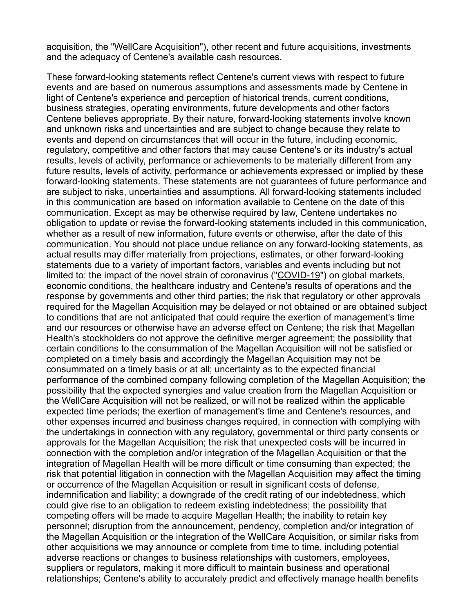acquisition, the "WellCare Acquisition"), other recent and future acquisitions, investments and the adequacy of Centene's available cash resources.

These forward-looking statements reflect Centene's current views with respect to future events and are based on numerous assumptions and assessments made by Centene in light of Centene's experience and perception of historical trends, current conditions, business strategies, operating environments, future developments and other factors Centene believes appropriate. By their nature, forward-looking statements involve known and unknown risks and uncertainties and are subject to change because they relate to events and depend on circumstances that will occur in the future, including economic, regulatory, competitive and other factors that may cause Centene's or its industry's actual results, levels of activity, performance or achievements to be materially different from any future results, levels of activity, performance or achievements expressed or implied by these forward-looking statements. These statements are not guarantees of future performance and are subject to risks, uncertainties and assumptions. All forward-looking statements included in this communication are based on information available to Centene on the date of this communication. Except as may be otherwise required by law, Centene undertakes no obligation to update or revise the forward-looking statements included in this communication, whether as a result of new information, future events or otherwise, after the date of this communication. You should not place undue reliance on any forward-looking statements, as actual results may differ materially from projections, estimates, or other forward-looking statements due to a variety of important factors, variables and events including but not limited to: the impact of the novel strain of coronavirus ("COVID-19") on global markets, economic conditions, the healthcare industry and Centene's results of operations and the response by governments and other third parties; the risk that regulatory or other approvals required for the Magellan Acquisition may be delayed or not obtained or are obtained subject to conditions that are not anticipated that could require the exertion of management's time and our resources or otherwise have an adverse effect on Centene; the risk that Magellan Health's stockholders do not approve the definitive merger agreement; the possibility that certain conditions to the consummation of the Magellan Acquisition will not be satisfied or completed on a timely basis and accordingly the Magellan Acquisition may not be consummated on a timely basis or at all; uncertainty as to the expected financial performance of the combined company following completion of the Magellan Acquisition; the possibility that the expected synergies and value creation from the Magellan Acquisition or the WellCare Acquisition will not be realized, or will not be realized within the applicable expected time periods; the exertion of management's time and Centene's resources, and other expenses incurred and business changes required, in connection with complying with the undertakings in connection with any regulatory, governmental or third party consents or approvals for the Magellan Acquisition; the risk that unexpected costs will be incurred in connection with the completion and/or integration of the Magellan Acquisition or that the integration of Magellan Health will be more difficult or time consuming than expected; the risk that potential litigation in connection with the Magellan Acquisition may affect the timing or occurrence of the Magellan Acquisition or result in significant costs of defense, indemnification and liability; a downgrade of the credit rating of our indebtedness, which could give rise to an obligation to redeem existing indebtedness; the possibility that competing offers will be made to acquire Magellan Health; the inability to retain key personnel; disruption from the announcement, pendency, completion and/or integration of the Magellan Acquisition or the integration of the WellCare Acquisition, or similar risks from other acquisitions we may announce or complete from time to time, including potential adverse reactions or changes to business relationships with customers, employees, suppliers or regulators, making it more difficult to maintain business and operational relationships; Centene's ability to accurately predict and effectively manage health benefits